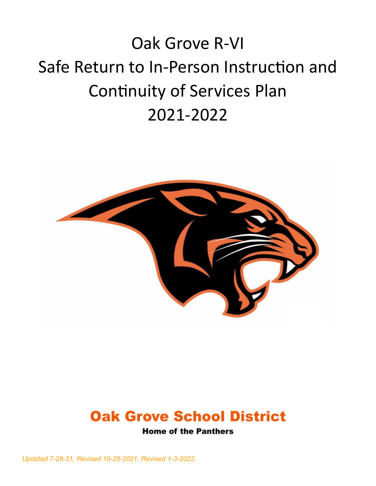# Oak Grove R-VI Safe Return to In-Person Instruction and Continuity of Services Plan 2021-2022





**Home of the Panthers** 

*Updated 7-28-21, Revised 10-25-2021, Revised 1-3-2022,*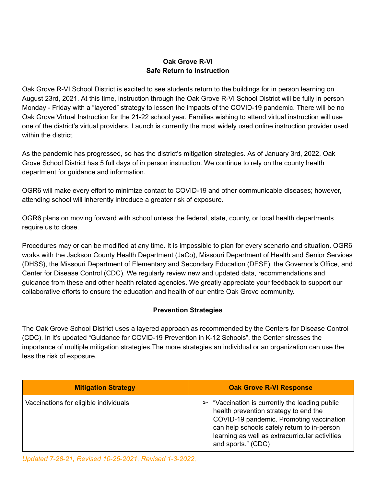## **Oak Grove R-VI Safe Return to Instruction**

Oak Grove R-VI School District is excited to see students return to the buildings for in person learning on August 23rd, 2021. At this time, instruction through the Oak Grove R-VI School District will be fully in person Monday - Friday with a "layered" strategy to lessen the impacts of the COVID-19 pandemic. There will be no Oak Grove Virtual Instruction for the 21-22 school year. Families wishing to attend virtual instruction will use one of the district's virtual providers. Launch is currently the most widely used online instruction provider used within the district.

As the pandemic has progressed, so has the district's mitigation strategies. As of January 3rd, 2022, Oak Grove School District has 5 full days of in person instruction. We continue to rely on the county health department for guidance and information.

OGR6 will make every effort to minimize contact to COVID-19 and other communicable diseases; however, attending school will inherently introduce a greater risk of exposure.

OGR6 plans on moving forward with school unless the federal, state, county, or local health departments require us to close.

Procedures may or can be modified at any time. It is impossible to plan for every scenario and situation. OGR6 works with the Jackson County Health Department (JaCo), Missouri Department of Health and Senior Services (DHSS), the Missouri Department of Elementary and Secondary Education (DESE), the Governor's Office, and Center for Disease Control (CDC). We regularly review new and updated data, recommendations and guidance from these and other health related agencies. We greatly appreciate your feedback to support our collaborative efforts to ensure the education and health of our entire Oak Grove community.

#### **Prevention Strategies**

The Oak Grove School District uses a layered approach as recommended by the Centers for Disease Control (CDC). In it's updated "Guidance for COVID-19 Prevention in K-12 Schools", the Center stresses the importance of multiple mitigation strategies.The more strategies an individual or an organization can use the less the risk of exposure.

| <b>Mitigation Strategy</b>            | <b>Oak Grove R-VI Response</b>                                                                                                                                                                                                                                            |
|---------------------------------------|---------------------------------------------------------------------------------------------------------------------------------------------------------------------------------------------------------------------------------------------------------------------------|
| Vaccinations for eligible individuals | $\triangleright$ "Vaccination is currently the leading public<br>health prevention strategy to end the<br>COVID-19 pandemic. Promoting vaccination<br>can help schools safely return to in-person<br>learning as well as extracurricular activities<br>and sports." (CDC) |

*Updated 7-28-21, Revised 10-25-2021, Revised 1-3-2022,*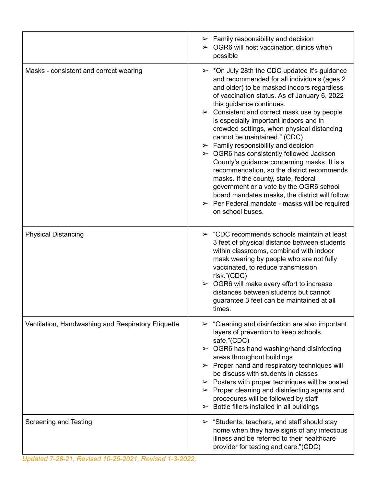|                                                    | $\triangleright$ Family responsibility and decision<br>$\triangleright$ OGR6 will host vaccination clinics when<br>possible                                                                                                                                                                                                                                                                                                                                                                                                                                                                                                                                                                                                                                                                                                                                           |
|----------------------------------------------------|-----------------------------------------------------------------------------------------------------------------------------------------------------------------------------------------------------------------------------------------------------------------------------------------------------------------------------------------------------------------------------------------------------------------------------------------------------------------------------------------------------------------------------------------------------------------------------------------------------------------------------------------------------------------------------------------------------------------------------------------------------------------------------------------------------------------------------------------------------------------------|
| Masks - consistent and correct wearing             | $\triangleright$ *On July 28th the CDC updated it's guidance<br>and recommended for all individuals (ages 2<br>and older) to be masked indoors regardless<br>of vaccination status. As of January 6, 2022<br>this guidance continues.<br>$\triangleright$ Consistent and correct mask use by people<br>is especially important indoors and in<br>crowded settings, when physical distancing<br>cannot be maintained." (CDC)<br>$\triangleright$ Family responsibility and decision<br>$\triangleright$ OGR6 has consistently followed Jackson<br>County's guidance concerning masks. It is a<br>recommendation, so the district recommends<br>masks. If the county, state, federal<br>government or a vote by the OGR6 school<br>board mandates masks, the district will follow.<br>$\triangleright$ Per Federal mandate - masks will be required<br>on school buses. |
| <b>Physical Distancing</b>                         | $\triangleright$ "CDC recommends schools maintain at least<br>3 feet of physical distance between students<br>within classrooms, combined with indoor<br>mask wearing by people who are not fully<br>vaccinated, to reduce transmission<br>risk."(CDC)<br>$\triangleright$ OGR6 will make every effort to increase<br>distances between students but cannot<br>guarantee 3 feet can be maintained at all<br>times.                                                                                                                                                                                                                                                                                                                                                                                                                                                    |
| Ventilation, Handwashing and Respiratory Etiquette | $\triangleright$ "Cleaning and disinfection are also important<br>layers of prevention to keep schools<br>safe."(CDC)<br>$\triangleright$ OGR6 has hand washing/hand disinfecting<br>areas throughout buildings<br>$\triangleright$ Proper hand and respiratory techniques will<br>be discuss with students in classes<br>$\triangleright$ Posters with proper techniques will be posted<br>$\triangleright$ Proper cleaning and disinfecting agents and<br>procedures will be followed by staff<br>$\triangleright$ Bottle fillers installed in all buildings                                                                                                                                                                                                                                                                                                        |
| <b>Screening and Testing</b>                       | $\triangleright$ "Students, teachers, and staff should stay<br>home when they have signs of any infectious<br>illness and be referred to their healthcare<br>provider for testing and care."(CDC)                                                                                                                                                                                                                                                                                                                                                                                                                                                                                                                                                                                                                                                                     |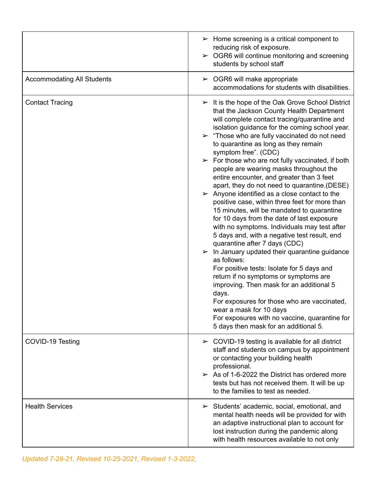|                                   | $\triangleright$ Home screening is a critical component to<br>reducing risk of exposure.<br>$\triangleright$ OGR6 will continue monitoring and screening<br>students by school staff                                                                                                                                                                                                                                                                                                                                                                                                                                                                                                                                                                                                                                                                                                                                                                                                                                                                                                                                                                                                                                                                                                                       |
|-----------------------------------|------------------------------------------------------------------------------------------------------------------------------------------------------------------------------------------------------------------------------------------------------------------------------------------------------------------------------------------------------------------------------------------------------------------------------------------------------------------------------------------------------------------------------------------------------------------------------------------------------------------------------------------------------------------------------------------------------------------------------------------------------------------------------------------------------------------------------------------------------------------------------------------------------------------------------------------------------------------------------------------------------------------------------------------------------------------------------------------------------------------------------------------------------------------------------------------------------------------------------------------------------------------------------------------------------------|
| <b>Accommodating All Students</b> | $\triangleright$ OGR6 will make appropriate<br>accommodations for students with disabilities.                                                                                                                                                                                                                                                                                                                                                                                                                                                                                                                                                                                                                                                                                                                                                                                                                                                                                                                                                                                                                                                                                                                                                                                                              |
| <b>Contact Tracing</b>            | $\triangleright$ It is the hope of the Oak Grove School District<br>that the Jackson County Health Department<br>will complete contact tracing/quarantine and<br>isolation guidance for the coming school year.<br>$\triangleright$ "Those who are fully vaccinated do not need<br>to quarantine as long as they remain<br>symptom free". (CDC)<br>$\triangleright$ For those who are not fully vaccinated, if both<br>people are wearing masks throughout the<br>entire encounter, and greater than 3 feet<br>apart, they do not need to quarantine.(DESE)<br>$\triangleright$ Anyone identified as a close contact to the<br>positive case, within three feet for more than<br>15 minutes, will be mandated to quarantine<br>for 10 days from the date of last exposure<br>with no symptoms. Individuals may test after<br>5 days and, with a negative test result, end<br>quarantine after 7 days (CDC)<br>$\triangleright$ In January updated their quarantine guidance<br>as follows:<br>For positive tests: Isolate for 5 days and<br>return if no symptoms or symptoms are<br>improving. Then mask for an additional 5<br>days.<br>For exposures for those who are vaccinated,<br>wear a mask for 10 days<br>For exposures with no vaccine, quarantine for<br>5 days then mask for an additional 5. |
| COVID-19 Testing                  | $\triangleright$ COVID-19 testing is available for all district<br>staff and students on campus by appointment<br>or contacting your building health<br>professional.<br>$\geq$ As of 1-6-2022 the District has ordered more<br>tests but has not received them. It will be up<br>to the families to test as needed.                                                                                                                                                                                                                                                                                                                                                                                                                                                                                                                                                                                                                                                                                                                                                                                                                                                                                                                                                                                       |
| <b>Health Services</b>            | $\triangleright$ Students' academic, social, emotional, and<br>mental health needs will be provided for with<br>an adaptive instructional plan to account for<br>lost instruction during the pandemic along<br>with health resources available to not only                                                                                                                                                                                                                                                                                                                                                                                                                                                                                                                                                                                                                                                                                                                                                                                                                                                                                                                                                                                                                                                 |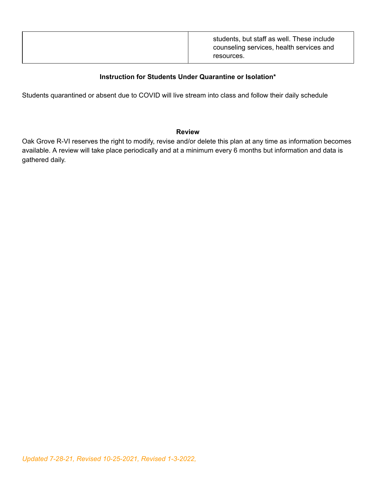|--|

### **Instruction for Students Under Quarantine or Isolation\***

Students quarantined or absent due to COVID will live stream into class and follow their daily schedule

#### **Review**

Oak Grove R-VI reserves the right to modify, revise and/or delete this plan at any time as information becomes available. A review will take place periodically and at a minimum every 6 months but information and data is gathered daily.